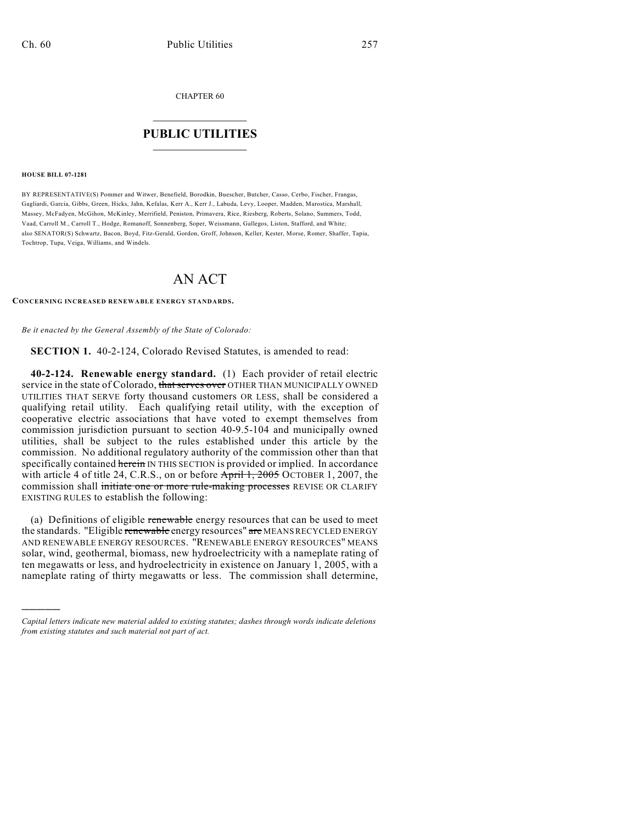CHAPTER 60

## $\overline{\phantom{a}}$  . The set of the set of the set of the set of the set of the set of the set of the set of the set of the set of the set of the set of the set of the set of the set of the set of the set of the set of the set o **PUBLIC UTILITIES** \_\_\_\_\_\_\_\_\_\_\_\_\_\_\_

**HOUSE BILL 07-1281**

)))))

BY REPRESENTATIVE(S) Pommer and Witwer, Benefield, Borodkin, Buescher, Butcher, Casso, Cerbo, Fischer, Frangas, Gagliardi, Garcia, Gibbs, Green, Hicks, Jahn, Kefalas, Kerr A., Kerr J., Labuda, Levy, Looper, Madden, Marostica, Marshall, Massey, McFadyen, McGihon, McKinley, Merrifield, Peniston, Primavera, Rice, Riesberg, Roberts, Solano, Summers, Todd, Vaad, Carroll M., Carroll T., Hodge, Romanoff, Sonnenberg, Soper, Weissmann, Gallegos, Liston, Stafford, and White; also SENATOR(S) Schwartz, Bacon, Boyd, Fitz-Gerald, Gordon, Groff, Johnson, Keller, Kester, Morse, Romer, Shaffer, Tapia, Tochtrop, Tupa, Veiga, Williams, and Windels.

# AN ACT

#### **CONCERNING INCREASED RENEWABLE ENERGY STANDARDS.**

*Be it enacted by the General Assembly of the State of Colorado:*

**SECTION 1.** 40-2-124, Colorado Revised Statutes, is amended to read:

**40-2-124. Renewable energy standard.** (1) Each provider of retail electric service in the state of Colorado, that serves over OTHER THAN MUNICIPALLY OWNED UTILITIES THAT SERVE forty thousand customers OR LESS, shall be considered a qualifying retail utility. Each qualifying retail utility, with the exception of cooperative electric associations that have voted to exempt themselves from commission jurisdiction pursuant to section 40-9.5-104 and municipally owned utilities, shall be subject to the rules established under this article by the commission. No additional regulatory authority of the commission other than that specifically contained herein IN THIS SECTION is provided or implied. In accordance with article 4 of title 24, C.R.S., on or before  $\frac{\text{April 1, 2005}}{\text{OCTOBER 1, 2007}}$ , the commission shall initiate one or more rule-making processes REVISE OR CLARIFY EXISTING RULES to establish the following:

(a) Definitions of eligible renewable energy resources that can be used to meet the standards. "Eligible renewable energy resources" are MEANS RECYCLED ENERGY AND RENEWABLE ENERGY RESOURCES. "RENEWABLE ENERGY RESOURCES" MEANS solar, wind, geothermal, biomass, new hydroelectricity with a nameplate rating of ten megawatts or less, and hydroelectricity in existence on January 1, 2005, with a nameplate rating of thirty megawatts or less. The commission shall determine,

*Capital letters indicate new material added to existing statutes; dashes through words indicate deletions from existing statutes and such material not part of act.*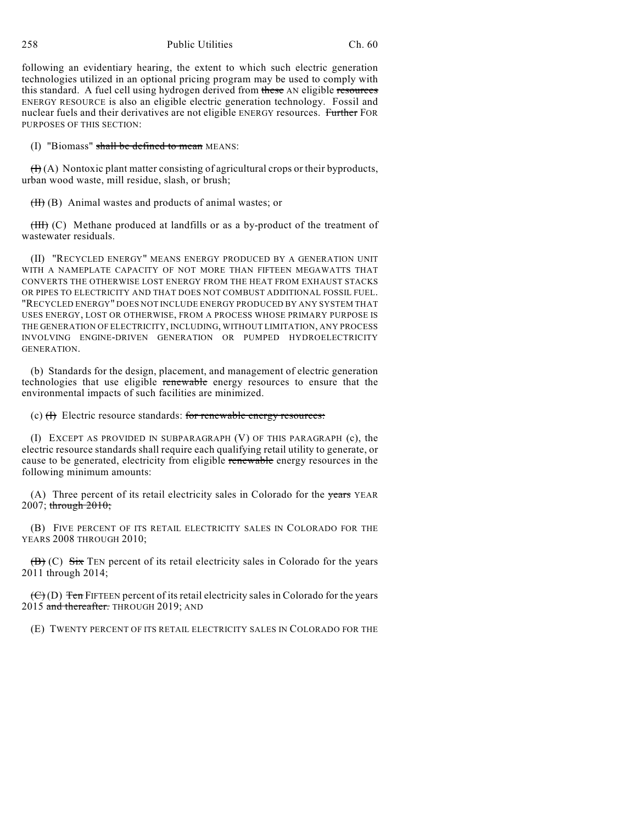258 Public Utilities Ch. 60

following an evidentiary hearing, the extent to which such electric generation technologies utilized in an optional pricing program may be used to comply with this standard. A fuel cell using hydrogen derived from these AN eligible resources ENERGY RESOURCE is also an eligible electric generation technology. Fossil and nuclear fuels and their derivatives are not eligible ENERGY resources. Further FOR PURPOSES OF THIS SECTION:

(I) "Biomass" shall be defined to mean MEANS:

 $(H)(A)$  Nontoxic plant matter consisting of agricultural crops or their byproducts, urban wood waste, mill residue, slash, or brush;

 $(H)$  (B) Animal wastes and products of animal wastes; or

(III) (C) Methane produced at landfills or as a by-product of the treatment of wastewater residuals.

(II) "RECYCLED ENERGY" MEANS ENERGY PRODUCED BY A GENERATION UNIT WITH A NAMEPLATE CAPACITY OF NOT MORE THAN FIFTEEN MEGAWATTS THAT CONVERTS THE OTHERWISE LOST ENERGY FROM THE HEAT FROM EXHAUST STACKS OR PIPES TO ELECTRICITY AND THAT DOES NOT COMBUST ADDITIONAL FOSSIL FUEL. "RECYCLED ENERGY" DOES NOT INCLUDE ENERGY PRODUCED BY ANY SYSTEM THAT USES ENERGY, LOST OR OTHERWISE, FROM A PROCESS WHOSE PRIMARY PURPOSE IS THE GENERATION OF ELECTRICITY, INCLUDING, WITHOUT LIMITATION, ANY PROCESS INVOLVING ENGINE-DRIVEN GENERATION OR PUMPED HYDROELECTRICITY GENERATION.

(b) Standards for the design, placement, and management of electric generation technologies that use eligible renewable energy resources to ensure that the environmental impacts of such facilities are minimized.

(c)  $(H)$  Electric resource standards: for renewable energy resources:

(I) EXCEPT AS PROVIDED IN SUBPARAGRAPH (V) OF THIS PARAGRAPH (c), the electric resource standards shall require each qualifying retail utility to generate, or cause to be generated, electricity from eligible renewable energy resources in the following minimum amounts:

(A) Three percent of its retail electricity sales in Colorado for the years YEAR  $2007$ ; through  $2010$ ;

(B) FIVE PERCENT OF ITS RETAIL ELECTRICITY SALES IN COLORADO FOR THE YEARS 2008 THROUGH 2010:

 $(\overrightarrow{B})$  (C) Six TEN percent of its retail electricity sales in Colorado for the years 2011 through 2014;

 $(\theta)$  (D) Ten FIFTEEN percent of its retail electricity sales in Colorado for the years 2015 and thereafter. THROUGH 2019; AND

(E) TWENTY PERCENT OF ITS RETAIL ELECTRICITY SALES IN COLORADO FOR THE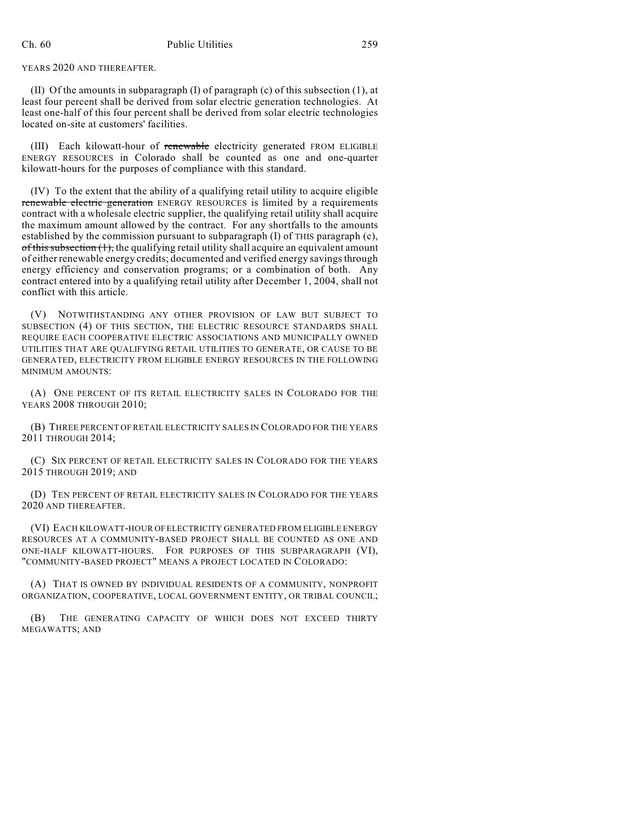YEARS 2020 AND THEREAFTER.

(II) Of the amounts in subparagraph (I) of paragraph (c) of this subsection (1), at least four percent shall be derived from solar electric generation technologies. At least one-half of this four percent shall be derived from solar electric technologies located on-site at customers' facilities.

(III) Each kilowatt-hour of renewable electricity generated FROM ELIGIBLE ENERGY RESOURCES in Colorado shall be counted as one and one-quarter kilowatt-hours for the purposes of compliance with this standard.

(IV) To the extent that the ability of a qualifying retail utility to acquire eligible renewable electric generation ENERGY RESOURCES is limited by a requirements contract with a wholesale electric supplier, the qualifying retail utility shall acquire the maximum amount allowed by the contract. For any shortfalls to the amounts established by the commission pursuant to subparagraph  $(I)$  of THIS paragraph  $(c)$ ,  $of this subsection (1),$  the qualifying retail utility shall acquire an equivalent amount of either renewable energy credits; documented and verified energy savings through energy efficiency and conservation programs; or a combination of both. Any contract entered into by a qualifying retail utility after December 1, 2004, shall not conflict with this article.

(V) NOTWITHSTANDING ANY OTHER PROVISION OF LAW BUT SUBJECT TO SUBSECTION (4) OF THIS SECTION, THE ELECTRIC RESOURCE STANDARDS SHALL REQUIRE EACH COOPERATIVE ELECTRIC ASSOCIATIONS AND MUNICIPALLY OWNED UTILITIES THAT ARE QUALIFYING RETAIL UTILITIES TO GENERATE, OR CAUSE TO BE GENERATED, ELECTRICITY FROM ELIGIBLE ENERGY RESOURCES IN THE FOLLOWING MINIMUM AMOUNTS:

(A) ONE PERCENT OF ITS RETAIL ELECTRICITY SALES IN COLORADO FOR THE YEARS 2008 THROUGH 2010:

(B) THREE PERCENT OF RETAIL ELECTRICITY SALES IN COLORADO FOR THE YEARS 2011 THROUGH 2014;

(C) SIX PERCENT OF RETAIL ELECTRICITY SALES IN COLORADO FOR THE YEARS 2015 THROUGH 2019; AND

(D) TEN PERCENT OF RETAIL ELECTRICITY SALES IN COLORADO FOR THE YEARS 2020 AND THEREAFTER.

(VI) EACH KILOWATT-HOUR OF ELECTRICITY GENERATED FROM ELIGIBLE ENERGY RESOURCES AT A COMMUNITY-BASED PROJECT SHALL BE COUNTED AS ONE AND ONE-HALF KILOWATT-HOURS. FOR PURPOSES OF THIS SUBPARAGRAPH (VI), "COMMUNITY-BASED PROJECT" MEANS A PROJECT LOCATED IN COLORADO:

(A) THAT IS OWNED BY INDIVIDUAL RESIDENTS OF A COMMUNITY, NONPROFIT ORGANIZATION, COOPERATIVE, LOCAL GOVERNMENT ENTITY, OR TRIBAL COUNCIL;

(B) THE GENERATING CAPACITY OF WHICH DOES NOT EXCEED THIRTY MEGAWATTS; AND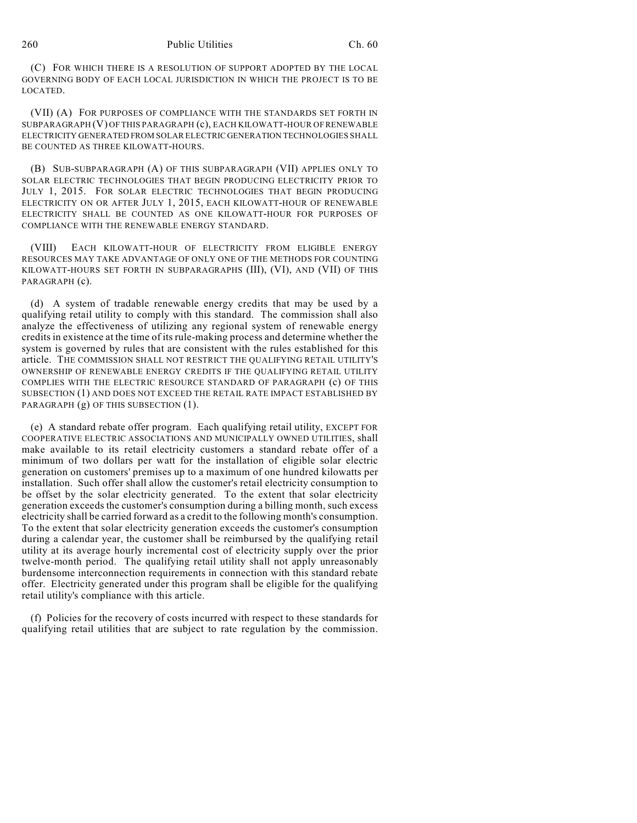(C) FOR WHICH THERE IS A RESOLUTION OF SUPPORT ADOPTED BY THE LOCAL GOVERNING BODY OF EACH LOCAL JURISDICTION IN WHICH THE PROJECT IS TO BE LOCATED.

(VII) (A) FOR PURPOSES OF COMPLIANCE WITH THE STANDARDS SET FORTH IN SUBPARAGRAPH (V) OF THIS PARAGRAPH (c), EACH KILOWATT-HOUR OF RENEWABLE ELECTRICITY GENERATED FROM SOLAR ELECTRIC GENERATION TECHNOLOGIES SHALL BE COUNTED AS THREE KILOWATT-HOURS.

(B) SUB-SUBPARAGRAPH (A) OF THIS SUBPARAGRAPH (VII) APPLIES ONLY TO SOLAR ELECTRIC TECHNOLOGIES THAT BEGIN PRODUCING ELECTRICITY PRIOR TO JULY 1, 2015. FOR SOLAR ELECTRIC TECHNOLOGIES THAT BEGIN PRODUCING ELECTRICITY ON OR AFTER JULY 1, 2015, EACH KILOWATT-HOUR OF RENEWABLE ELECTRICITY SHALL BE COUNTED AS ONE KILOWATT-HOUR FOR PURPOSES OF COMPLIANCE WITH THE RENEWABLE ENERGY STANDARD.

(VIII) EACH KILOWATT-HOUR OF ELECTRICITY FROM ELIGIBLE ENERGY RESOURCES MAY TAKE ADVANTAGE OF ONLY ONE OF THE METHODS FOR COUNTING KILOWATT-HOURS SET FORTH IN SUBPARAGRAPHS (III), (VI), AND (VII) OF THIS PARAGRAPH (c).

(d) A system of tradable renewable energy credits that may be used by a qualifying retail utility to comply with this standard. The commission shall also analyze the effectiveness of utilizing any regional system of renewable energy credits in existence at the time of its rule-making process and determine whether the system is governed by rules that are consistent with the rules established for this article. THE COMMISSION SHALL NOT RESTRICT THE QUALIFYING RETAIL UTILITY'S OWNERSHIP OF RENEWABLE ENERGY CREDITS IF THE QUALIFYING RETAIL UTILITY COMPLIES WITH THE ELECTRIC RESOURCE STANDARD OF PARAGRAPH (c) OF THIS SUBSECTION (1) AND DOES NOT EXCEED THE RETAIL RATE IMPACT ESTABLISHED BY PARAGRAPH (g) OF THIS SUBSECTION (1).

(e) A standard rebate offer program. Each qualifying retail utility, EXCEPT FOR COOPERATIVE ELECTRIC ASSOCIATIONS AND MUNICIPALLY OWNED UTILITIES, shall make available to its retail electricity customers a standard rebate offer of a minimum of two dollars per watt for the installation of eligible solar electric generation on customers' premises up to a maximum of one hundred kilowatts per installation. Such offer shall allow the customer's retail electricity consumption to be offset by the solar electricity generated. To the extent that solar electricity generation exceeds the customer's consumption during a billing month, such excess electricity shall be carried forward as a credit to the following month's consumption. To the extent that solar electricity generation exceeds the customer's consumption during a calendar year, the customer shall be reimbursed by the qualifying retail utility at its average hourly incremental cost of electricity supply over the prior twelve-month period. The qualifying retail utility shall not apply unreasonably burdensome interconnection requirements in connection with this standard rebate offer. Electricity generated under this program shall be eligible for the qualifying retail utility's compliance with this article.

(f) Policies for the recovery of costs incurred with respect to these standards for qualifying retail utilities that are subject to rate regulation by the commission.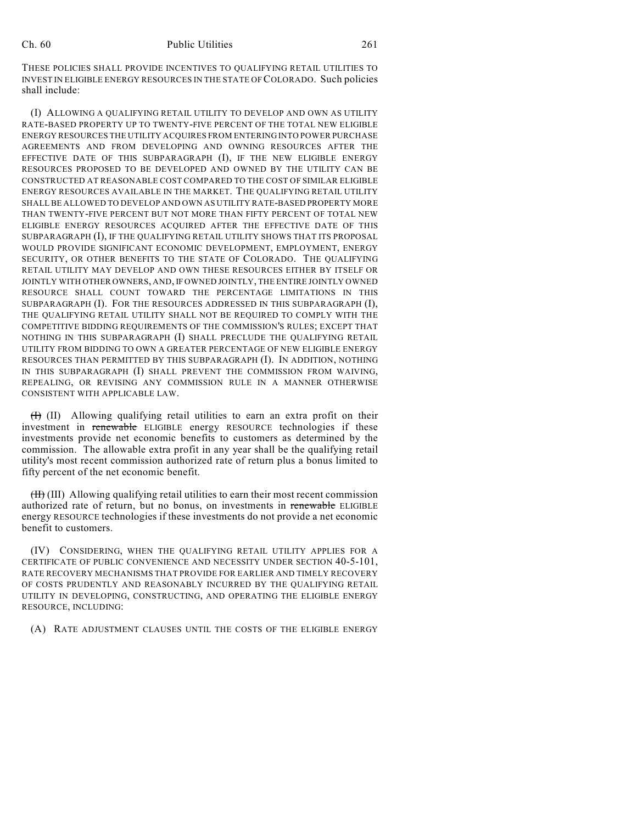THESE POLICIES SHALL PROVIDE INCENTIVES TO QUALIFYING RETAIL UTILITIES TO INVEST IN ELIGIBLE ENERGY RESOURCES IN THE STATE OF COLORADO. Such policies shall include:

(I) ALLOWING A QUALIFYING RETAIL UTILITY TO DEVELOP AND OWN AS UTILITY RATE-BASED PROPERTY UP TO TWENTY-FIVE PERCENT OF THE TOTAL NEW ELIGIBLE ENERGY RESOURCES THE UTILITY ACQUIRES FROM ENTERING INTO POWER PURCHASE AGREEMENTS AND FROM DEVELOPING AND OWNING RESOURCES AFTER THE EFFECTIVE DATE OF THIS SUBPARAGRAPH (I), IF THE NEW ELIGIBLE ENERGY RESOURCES PROPOSED TO BE DEVELOPED AND OWNED BY THE UTILITY CAN BE CONSTRUCTED AT REASONABLE COST COMPARED TO THE COST OF SIMILAR ELIGIBLE ENERGY RESOURCES AVAILABLE IN THE MARKET. THE QUALIFYING RETAIL UTILITY SHALL BE ALLOWED TO DEVELOP AND OWN AS UTILITY RATE-BASED PROPERTY MORE THAN TWENTY-FIVE PERCENT BUT NOT MORE THAN FIFTY PERCENT OF TOTAL NEW ELIGIBLE ENERGY RESOURCES ACQUIRED AFTER THE EFFECTIVE DATE OF THIS SUBPARAGRAPH (I), IF THE QUALIFYING RETAIL UTILITY SHOWS THAT ITS PROPOSAL WOULD PROVIDE SIGNIFICANT ECONOMIC DEVELOPMENT, EMPLOYMENT, ENERGY SECURITY, OR OTHER BENEFITS TO THE STATE OF COLORADO. THE QUALIFYING RETAIL UTILITY MAY DEVELOP AND OWN THESE RESOURCES EITHER BY ITSELF OR JOINTLY WITH OTHER OWNERS, AND, IF OWNED JOINTLY, THE ENTIRE JOINTLY OWNED RESOURCE SHALL COUNT TOWARD THE PERCENTAGE LIMITATIONS IN THIS SUBPARAGRAPH (I). FOR THE RESOURCES ADDRESSED IN THIS SUBPARAGRAPH (I), THE QUALIFYING RETAIL UTILITY SHALL NOT BE REQUIRED TO COMPLY WITH THE COMPETITIVE BIDDING REQUIREMENTS OF THE COMMISSION'S RULES; EXCEPT THAT NOTHING IN THIS SUBPARAGRAPH (I) SHALL PRECLUDE THE QUALIFYING RETAIL UTILITY FROM BIDDING TO OWN A GREATER PERCENTAGE OF NEW ELIGIBLE ENERGY RESOURCES THAN PERMITTED BY THIS SUBPARAGRAPH (I). IN ADDITION, NOTHING IN THIS SUBPARAGRAPH (I) SHALL PREVENT THE COMMISSION FROM WAIVING, REPEALING, OR REVISING ANY COMMISSION RULE IN A MANNER OTHERWISE CONSISTENT WITH APPLICABLE LAW.

(I) (II) Allowing qualifying retail utilities to earn an extra profit on their investment in renewable ELIGIBLE energy RESOURCE technologies if these investments provide net economic benefits to customers as determined by the commission. The allowable extra profit in any year shall be the qualifying retail utility's most recent commission authorized rate of return plus a bonus limited to fifty percent of the net economic benefit.

(II) (III) Allowing qualifying retail utilities to earn their most recent commission authorized rate of return, but no bonus, on investments in renewable ELIGIBLE energy RESOURCE technologies if these investments do not provide a net economic benefit to customers.

(IV) CONSIDERING, WHEN THE QUALIFYING RETAIL UTILITY APPLIES FOR A CERTIFICATE OF PUBLIC CONVENIENCE AND NECESSITY UNDER SECTION 40-5-101, RATE RECOVERY MECHANISMS THAT PROVIDE FOR EARLIER AND TIMELY RECOVERY OF COSTS PRUDENTLY AND REASONABLY INCURRED BY THE QUALIFYING RETAIL UTILITY IN DEVELOPING, CONSTRUCTING, AND OPERATING THE ELIGIBLE ENERGY RESOURCE, INCLUDING:

(A) RATE ADJUSTMENT CLAUSES UNTIL THE COSTS OF THE ELIGIBLE ENERGY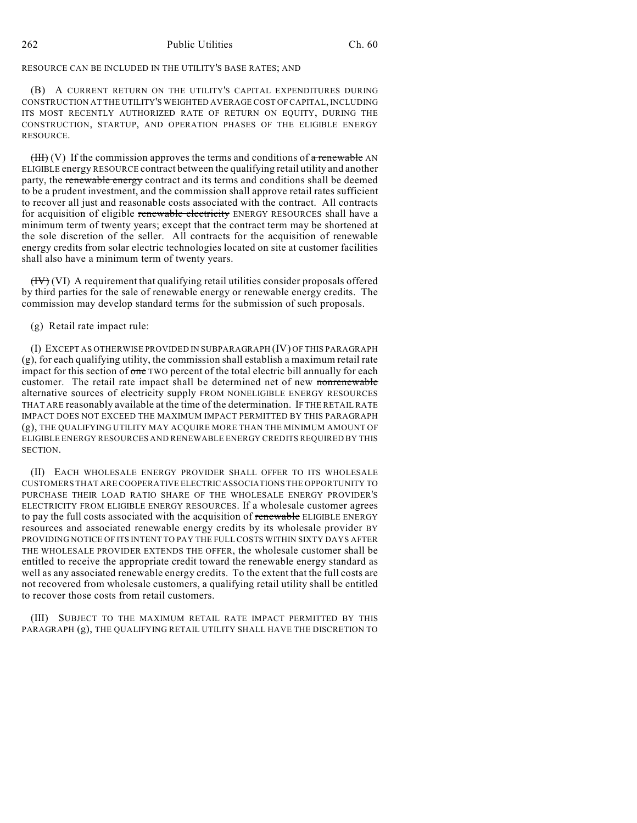### RESOURCE CAN BE INCLUDED IN THE UTILITY'S BASE RATES; AND

(B) A CURRENT RETURN ON THE UTILITY'S CAPITAL EXPENDITURES DURING CONSTRUCTION AT THE UTILITY'S WEIGHTED AVERAGE COST OF CAPITAL, INCLUDING ITS MOST RECENTLY AUTHORIZED RATE OF RETURN ON EQUITY, DURING THE CONSTRUCTION, STARTUP, AND OPERATION PHASES OF THE ELIGIBLE ENERGY RESOURCE.

 $(HH)$  (V) If the commission approves the terms and conditions of a renewable AN ELIGIBLE energy RESOURCE contract between the qualifying retail utility and another party, the renewable energy contract and its terms and conditions shall be deemed to be a prudent investment, and the commission shall approve retail rates sufficient to recover all just and reasonable costs associated with the contract. All contracts for acquisition of eligible renewable electricity ENERGY RESOURCES shall have a minimum term of twenty years; except that the contract term may be shortened at the sole discretion of the seller. All contracts for the acquisition of renewable energy credits from solar electric technologies located on site at customer facilities shall also have a minimum term of twenty years.

 $(HV)$  (VI) A requirement that qualifying retail utilities consider proposals offered by third parties for the sale of renewable energy or renewable energy credits. The commission may develop standard terms for the submission of such proposals.

## (g) Retail rate impact rule:

(I) EXCEPT AS OTHERWISE PROVIDED IN SUBPARAGRAPH (IV) OF THIS PARAGRAPH (g), for each qualifying utility, the commission shall establish a maximum retail rate impact for this section of  $\theta$  one TWO percent of the total electric bill annually for each customer. The retail rate impact shall be determined net of new nonrenewable alternative sources of electricity supply FROM NONELIGIBLE ENERGY RESOURCES THAT ARE reasonably available at the time of the determination. IF THE RETAIL RATE IMPACT DOES NOT EXCEED THE MAXIMUM IMPACT PERMITTED BY THIS PARAGRAPH (g), THE QUALIFYING UTILITY MAY ACQUIRE MORE THAN THE MINIMUM AMOUNT OF ELIGIBLE ENERGY RESOURCES AND RENEWABLE ENERGY CREDITS REQUIRED BY THIS SECTION.

(II) EACH WHOLESALE ENERGY PROVIDER SHALL OFFER TO ITS WHOLESALE CUSTOMERS THAT ARE COOPERATIVE ELECTRIC ASSOCIATIONS THE OPPORTUNITY TO PURCHASE THEIR LOAD RATIO SHARE OF THE WHOLESALE ENERGY PROVIDER'S ELECTRICITY FROM ELIGIBLE ENERGY RESOURCES. If a wholesale customer agrees to pay the full costs associated with the acquisition of renewable ELIGIBLE ENERGY resources and associated renewable energy credits by its wholesale provider BY PROVIDING NOTICE OF ITS INTENT TO PAY THE FULL COSTS WITHIN SIXTY DAYS AFTER THE WHOLESALE PROVIDER EXTENDS THE OFFER, the wholesale customer shall be entitled to receive the appropriate credit toward the renewable energy standard as well as any associated renewable energy credits. To the extent that the full costs are not recovered from wholesale customers, a qualifying retail utility shall be entitled to recover those costs from retail customers.

(III) SUBJECT TO THE MAXIMUM RETAIL RATE IMPACT PERMITTED BY THIS PARAGRAPH (g), THE QUALIFYING RETAIL UTILITY SHALL HAVE THE DISCRETION TO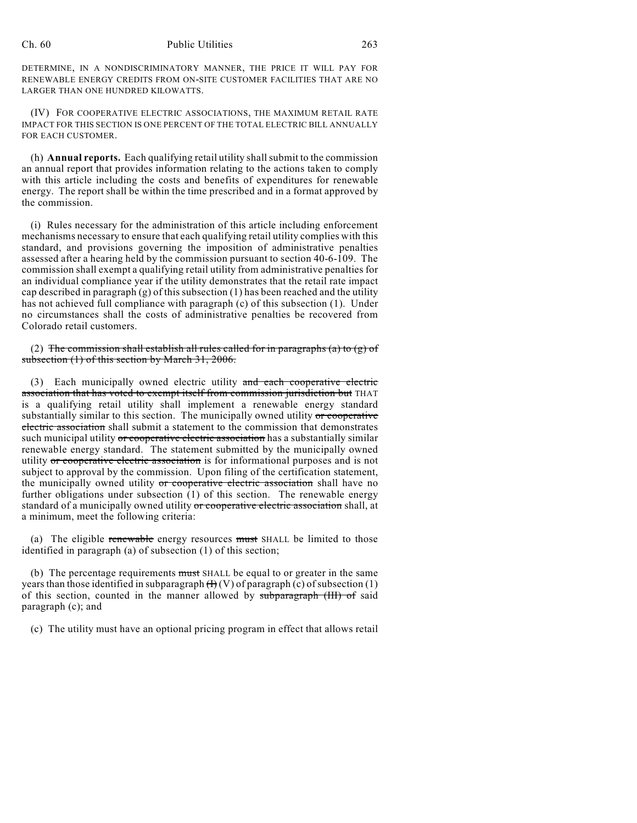#### Ch. 60 Public Utilities 263

DETERMINE, IN A NONDISCRIMINATORY MANNER, THE PRICE IT WILL PAY FOR RENEWABLE ENERGY CREDITS FROM ON-SITE CUSTOMER FACILITIES THAT ARE NO LARGER THAN ONE HUNDRED KILOWATTS.

(IV) FOR COOPERATIVE ELECTRIC ASSOCIATIONS, THE MAXIMUM RETAIL RATE IMPACT FOR THIS SECTION IS ONE PERCENT OF THE TOTAL ELECTRIC BILL ANNUALLY FOR EACH CUSTOMER.

(h) **Annual reports.** Each qualifying retail utility shall submit to the commission an annual report that provides information relating to the actions taken to comply with this article including the costs and benefits of expenditures for renewable energy. The report shall be within the time prescribed and in a format approved by the commission.

(i) Rules necessary for the administration of this article including enforcement mechanisms necessary to ensure that each qualifying retail utility complies with this standard, and provisions governing the imposition of administrative penalties assessed after a hearing held by the commission pursuant to section 40-6-109. The commission shall exempt a qualifying retail utility from administrative penalties for an individual compliance year if the utility demonstrates that the retail rate impact cap described in paragraph  $(g)$  of this subsection  $(1)$  has been reached and the utility has not achieved full compliance with paragraph (c) of this subsection (1). Under no circumstances shall the costs of administrative penalties be recovered from Colorado retail customers.

(2) The commission shall establish all rules called for in paragraphs (a) to (g) of subsection (1) of this section by March 31, 2006.

(3) Each municipally owned electric utility and each cooperative electric association that has voted to exempt itself from commission jurisdiction but THAT is a qualifying retail utility shall implement a renewable energy standard substantially similar to this section. The municipally owned utility or cooperative electric association shall submit a statement to the commission that demonstrates such municipal utility or cooperative electric association has a substantially similar renewable energy standard. The statement submitted by the municipally owned utility or cooperative electric association is for informational purposes and is not subject to approval by the commission. Upon filing of the certification statement, the municipally owned utility or cooperative electric association shall have no further obligations under subsection (1) of this section. The renewable energy standard of a municipally owned utility or cooperative electric association shall, at a minimum, meet the following criteria:

(a) The eligible renewable energy resources must SHALL be limited to those identified in paragraph (a) of subsection (1) of this section;

(b) The percentage requirements must SHALL be equal to or greater in the same years than those identified in subparagraph  $(H)(V)$  of paragraph (c) of subsection (1) of this section, counted in the manner allowed by subparagraph (III) of said paragraph (c); and

(c) The utility must have an optional pricing program in effect that allows retail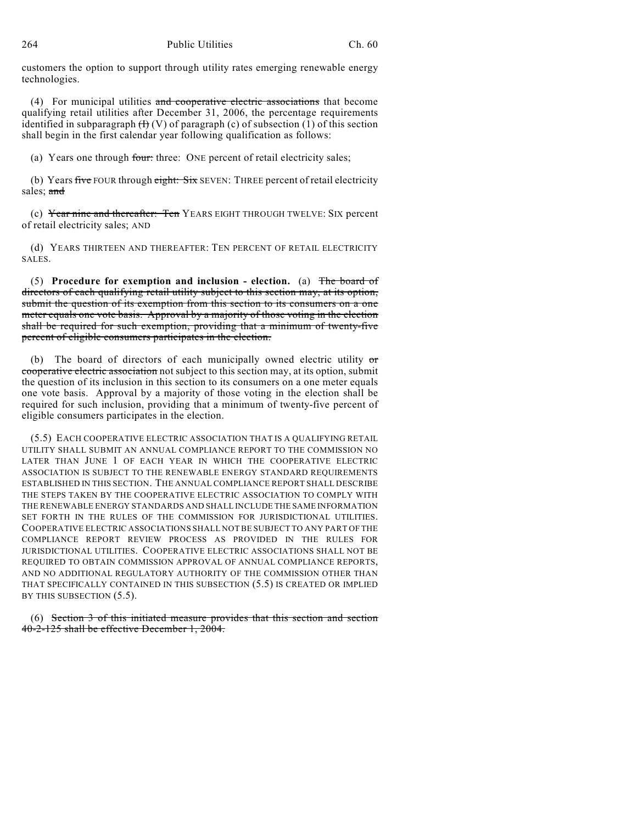customers the option to support through utility rates emerging renewable energy technologies.

(4) For municipal utilities and cooperative electric associations that become qualifying retail utilities after December 31, 2006, the percentage requirements identified in subparagraph  $(H)(V)$  of paragraph (c) of subsection (1) of this section shall begin in the first calendar year following qualification as follows:

(a) Years one through four: three: ONE percent of retail electricity sales;

(b) Years five FOUR through eight: Six SEVEN: THREE percent of retail electricity sales; and

(c) Year nine and thereafter: Ten YEARS EIGHT THROUGH TWELVE: SIX percent of retail electricity sales; AND

(d) YEARS THIRTEEN AND THEREAFTER: TEN PERCENT OF RETAIL ELECTRICITY SALES.

(5) **Procedure for exemption and inclusion - election.** (a) The board of directors of each qualifying retail utility subject to this section may, at its option, submit the question of its exemption from this section to its consumers on a one meter equals one vote basis. Approval by a majority of those voting in the election shall be required for such exemption, providing that a minimum of twenty-five percent of eligible consumers participates in the election.

(b) The board of directors of each municipally owned electric utility  $\sigma$ cooperative electric association not subject to this section may, at its option, submit the question of its inclusion in this section to its consumers on a one meter equals one vote basis. Approval by a majority of those voting in the election shall be required for such inclusion, providing that a minimum of twenty-five percent of eligible consumers participates in the election.

(5.5) EACH COOPERATIVE ELECTRIC ASSOCIATION THAT IS A QUALIFYING RETAIL UTILITY SHALL SUBMIT AN ANNUAL COMPLIANCE REPORT TO THE COMMISSION NO LATER THAN JUNE 1 OF EACH YEAR IN WHICH THE COOPERATIVE ELECTRIC ASSOCIATION IS SUBJECT TO THE RENEWABLE ENERGY STANDARD REQUIREMENTS ESTABLISHED IN THIS SECTION. THE ANNUAL COMPLIANCE REPORT SHALL DESCRIBE THE STEPS TAKEN BY THE COOPERATIVE ELECTRIC ASSOCIATION TO COMPLY WITH THE RENEWABLE ENERGY STANDARDS AND SHALL INCLUDE THE SAME INFORMATION SET FORTH IN THE RULES OF THE COMMISSION FOR JURISDICTIONAL UTILITIES. COOPERATIVE ELECTRIC ASSOCIATIONS SHALL NOT BE SUBJECT TO ANY PART OF THE COMPLIANCE REPORT REVIEW PROCESS AS PROVIDED IN THE RULES FOR JURISDICTIONAL UTILITIES. COOPERATIVE ELECTRIC ASSOCIATIONS SHALL NOT BE REQUIRED TO OBTAIN COMMISSION APPROVAL OF ANNUAL COMPLIANCE REPORTS, AND NO ADDITIONAL REGULATORY AUTHORITY OF THE COMMISSION OTHER THAN THAT SPECIFICALLY CONTAINED IN THIS SUBSECTION (5.5) IS CREATED OR IMPLIED BY THIS SUBSECTION  $(5.5)$ .

(6) Section 3 of this initiated measure provides that this section and section 40-2-125 shall be effective December 1, 2004.